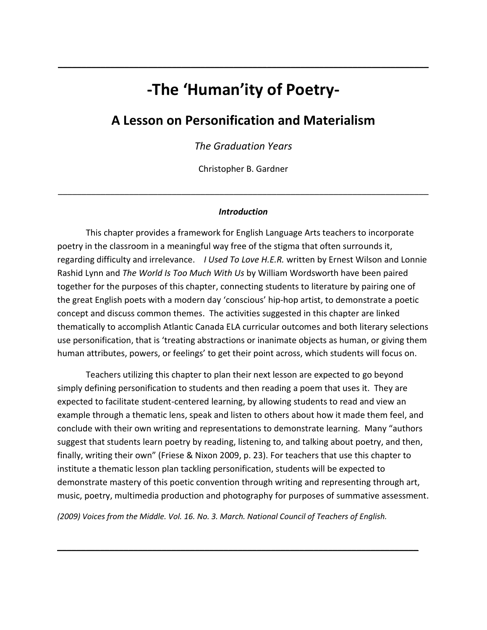# **-The 'Human'ity of Poetry-**

\_\_\_\_\_\_\_\_\_\_\_\_\_\_\_\_\_\_\_\_\_\_\_\_\_\_\_\_\_\_\_\_\_\_\_\_\_\_\_\_\_\_\_\_\_\_\_\_\_\_\_\_\_\_\_\_\_\_\_\_\_\_\_\_\_\_\_\_\_\_\_\_\_\_\_\_\_\_

## **A Lesson on Personification and Materialism**

*The Graduation Years*

Christopher B. Gardner

\_\_\_\_\_\_\_\_\_\_\_\_\_\_\_\_\_\_\_\_\_\_\_\_\_\_\_\_\_\_\_\_\_\_\_\_\_\_\_\_\_\_\_\_\_\_\_\_\_\_\_\_\_\_\_\_\_\_\_\_\_\_\_\_\_\_\_\_\_\_\_\_\_\_\_\_\_\_

#### *Introduction*

This chapter provides a framework for English Language Arts teachers to incorporate poetry in the classroom in a meaningful way free of the stigma that often surrounds it, regarding difficulty and irrelevance. *I Used To Love H.E.R.* written by Ernest Wilson and Lonnie Rashid Lynn and *The World Is Too Much With Us* by William Wordsworth have been paired together for the purposes of this chapter, connecting students to literature by pairing one of the great English poets with a modern day 'conscious' hip-hop artist, to demonstrate a poetic concept and discuss common themes. The activities suggested in this chapter are linked thematically to accomplish Atlantic Canada ELA curricular outcomes and both literary selections use personification, that is 'treating abstractions or inanimate objects as human, or giving them human attributes, powers, or feelings' to get their point across, which students will focus on.

Teachers utilizing this chapter to plan their next lesson are expected to go beyond simply defining personification to students and then reading a poem that uses it. They are expected to facilitate student-centered learning, by allowing students to read and view an example through a thematic lens, speak and listen to others about how it made them feel, and conclude with their own writing and representations to demonstrate learning. Many "authors suggest that students learn poetry by reading, listening to, and talking about poetry, and then, finally, writing their own" (Friese & Nixon 2009, p. 23). For teachers that use this chapter to institute a thematic lesson plan tackling personification, students will be expected to demonstrate mastery of this poetic convention through writing and representing through art, music, poetry, multimedia production and photography for purposes of summative assessment.

*(2009) Voices from the Middle. Vol. 16. No. 3. March. National Council of Teachers of English.*

 $\mathcal{L} = \{ \mathcal{L} = \{ \mathcal{L} = \mathcal{L} \} \cup \{ \mathcal{L} = \{ \mathcal{L} = \mathcal{L} \} \cup \{ \mathcal{L} = \{ \mathcal{L} = \mathcal{L} \} \cup \{ \mathcal{L} = \{ \mathcal{L} = \mathcal{L} \} \cup \{ \mathcal{L} = \{ \mathcal{L} = \mathcal{L} \} \cup \{ \mathcal{L} = \{ \mathcal{L} = \mathcal{L} \} \cup \{ \mathcal{L} = \{ \mathcal{L} = \mathcal{L} \} \cup \{ \mathcal{L} = \{ \mathcal{L}$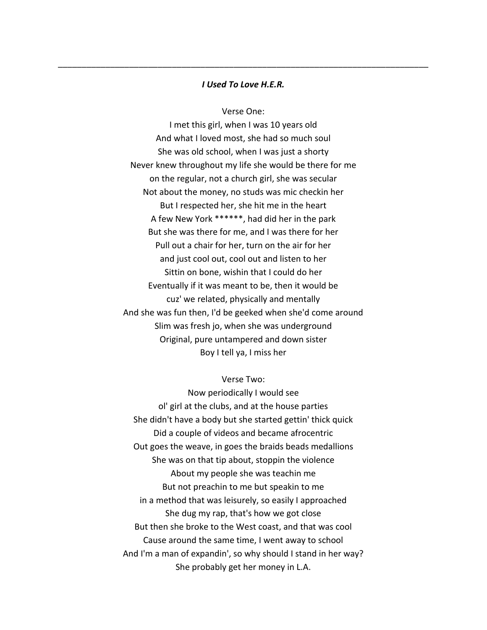#### *I Used To Love H.E.R.*

\_\_\_\_\_\_\_\_\_\_\_\_\_\_\_\_\_\_\_\_\_\_\_\_\_\_\_\_\_\_\_\_\_\_\_\_\_\_\_\_\_\_\_\_\_\_\_\_\_\_\_\_\_\_\_\_\_\_\_\_\_\_\_\_\_\_\_\_\_\_\_\_\_\_\_\_\_\_

Verse One:

I met this girl, when I was 10 years old And what I loved most, she had so much soul She was old school, when I was just a shorty Never knew throughout my life she would be there for me on the regular, not a church girl, she was secular Not about the money, no studs was mic checkin her But I respected her, she hit me in the heart A few New York \*\*\*\*\*\*, had did her in the park But she was there for me, and I was there for her Pull out a chair for her, turn on the air for her and just cool out, cool out and listen to her Sittin on bone, wishin that I could do her Eventually if it was meant to be, then it would be cuz' we related, physically and mentally And she was fun then, I'd be geeked when she'd come around Slim was fresh jo, when she was underground Original, pure untampered and down sister Boy I tell ya, I miss her

#### Verse Two:

Now periodically I would see ol' girl at the clubs, and at the house parties She didn't have a body but she started gettin' thick quick Did a couple of videos and became afrocentric Out goes the weave, in goes the braids beads medallions She was on that tip about, stoppin the violence About my people she was teachin me But not preachin to me but speakin to me in a method that was leisurely, so easily I approached She dug my rap, that's how we got close But then she broke to the West coast, and that was cool Cause around the same time, I went away to school And I'm a man of expandin', so why should I stand in her way? She probably get her money in L.A.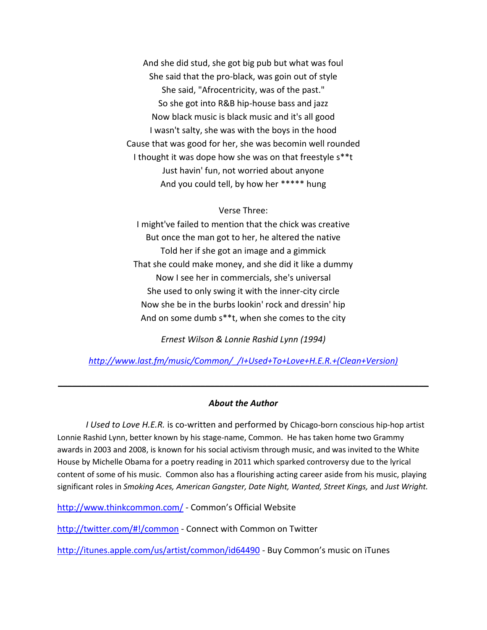And she did stud, she got big pub but what was foul She said that the pro-black, was goin out of style She said, "Afrocentricity, was of the past." So she got into R&B hip-house bass and jazz Now black music is black music and it's all good I wasn't salty, she was with the boys in the hood Cause that was good for her, she was becomin well rounded I thought it was dope how she was on that freestyle s\*\*t Just havin' fun, not worried about anyone And you could tell, by how her \*\*\*\*\* hung

#### Verse Three:

I might've failed to mention that the chick was creative But once the man got to her, he altered the native Told her if she got an image and a gimmick That she could make money, and she did it like a dummy Now I see her in commercials, she's universal She used to only swing it with the inner-city circle Now she be in the burbs lookin' rock and dressin' hip And on some dumb s\*\*t, when she comes to the city

*Ernest Wilson & Lonnie Rashid Lynn (1994)*

*[http://www.last.fm/music/Common/\\_/I+Used+To+Love+H.E.R.+\(Clean+Version\)](http://www.last.fm/music/Common/_/I+Used+To+Love+H.E.R.+(Clean+Version))* 

\_\_\_\_\_\_\_\_\_\_\_\_\_\_\_\_\_\_\_\_\_\_\_\_\_\_\_\_\_\_\_\_\_\_\_\_\_\_\_\_\_\_\_\_\_\_\_\_\_\_\_\_\_\_\_\_\_\_\_\_\_\_\_\_\_\_\_\_\_\_\_\_\_\_\_\_\_\_

#### *About the Author*

*I Used to Love H.E.R.* is co-written and performed by Chicago-born conscious hip-hop artist Lonnie Rashid Lynn, better known by his stage-name, Common. He has taken home two Grammy awards in 2003 and 2008, is known for his social activism through music, and was invited to the White House by Michelle Obama for a poetry reading in 2011 which sparked controversy due to the lyrical content of some of his music. Common also has a flourishing acting career aside from his music, playing significant roles in *Smoking Aces, American Gangster, Date Night, Wanted, Street Kings,* and *Just Wright.*

<http://www.thinkcommon.com/> - Common's Official Website

<http://twitter.com/#!/common> - Connect with Common on Twitter

<http://itunes.apple.com/us/artist/common/id64490> - Buy Common's music on iTunes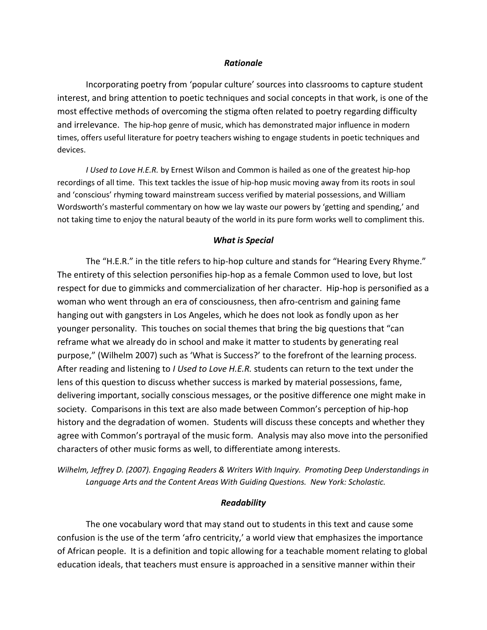#### *Rationale*

Incorporating poetry from 'popular culture' sources into classrooms to capture student interest, and bring attention to poetic techniques and social concepts in that work, is one of the most effective methods of overcoming the stigma often related to poetry regarding difficulty and irrelevance. The hip-hop genre of music, which has demonstrated major influence in modern times, offers useful literature for poetry teachers wishing to engage students in poetic techniques and devices.

*I Used to Love H.E.R.* by Ernest Wilson and Common is hailed as one of the greatest hip-hop recordings of all time. This text tackles the issue of hip-hop music moving away from its roots in soul and 'conscious' rhyming toward mainstream success verified by material possessions, and William Wordsworth's masterful commentary on how we lay waste our powers by 'getting and spending,' and not taking time to enjoy the natural beauty of the world in its pure form works well to compliment this.

#### *What is Special*

The "H.E.R." in the title refers to hip-hop culture and stands for "Hearing Every Rhyme." The entirety of this selection personifies hip-hop as a female Common used to love, but lost respect for due to gimmicks and commercialization of her character. Hip-hop is personified as a woman who went through an era of consciousness, then afro-centrism and gaining fame hanging out with gangsters in Los Angeles, which he does not look as fondly upon as her younger personality. This touches on social themes that bring the big questions that "can reframe what we already do in school and make it matter to students by generating real purpose," (Wilhelm 2007) such as 'What is Success?' to the forefront of the learning process. After reading and listening to *I Used to Love H.E.R.* students can return to the text under the lens of this question to discuss whether success is marked by material possessions, fame, delivering important, socially conscious messages, or the positive difference one might make in society. Comparisons in this text are also made between Common's perception of hip-hop history and the degradation of women. Students will discuss these concepts and whether they agree with Common's portrayal of the music form. Analysis may also move into the personified characters of other music forms as well, to differentiate among interests.

*Wilhelm, Jeffrey D. (2007). Engaging Readers & Writers With Inquiry. Promoting Deep Understandings in Language Arts and the Content Areas With Guiding Questions. New York: Scholastic.*

#### *Readability*

The one vocabulary word that may stand out to students in this text and cause some confusion is the use of the term 'afro centricity,' a world view that emphasizes the importance of African people. It is a definition and topic allowing for a teachable moment relating to global education ideals, that teachers must ensure is approached in a sensitive manner within their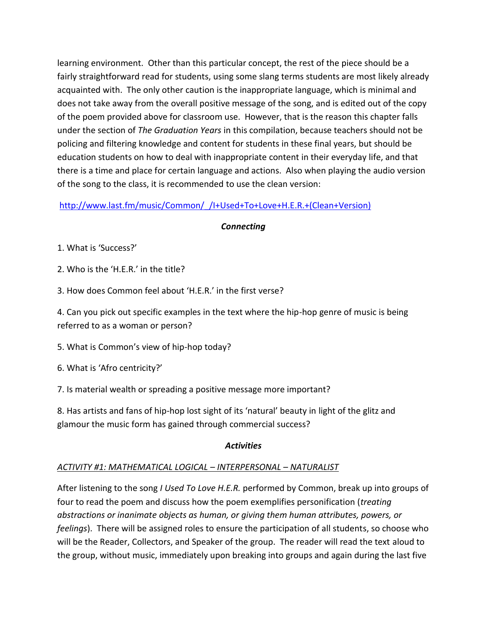learning environment. Other than this particular concept, the rest of the piece should be a fairly straightforward read for students, using some slang terms students are most likely already acquainted with. The only other caution is the inappropriate language, which is minimal and does not take away from the overall positive message of the song, and is edited out of the copy of the poem provided above for classroom use. However, that is the reason this chapter falls under the section of *The Graduation Years* in this compilation, because teachers should not be policing and filtering knowledge and content for students in these final years, but should be education students on how to deal with inappropriate content in their everyday life, and that there is a time and place for certain language and actions. Also when playing the audio version of the song to the class, it is recommended to use the clean version:

## [http://www.last.fm/music/Common/\\_/I+Used+To+Love+H.E.R.+\(Clean+Version\)](http://www.last.fm/music/Common/_/I+Used+To+Love+H.E.R.+(Clean+Version))

## *Connecting*

1. What is 'Success?'

2. Who is the 'H.E.R.' in the title?

3. How does Common feel about 'H.E.R.' in the first verse?

4. Can you pick out specific examples in the text where the hip-hop genre of music is being referred to as a woman or person?

5. What is Common's view of hip-hop today?

6. What is 'Afro centricity?'

7. Is material wealth or spreading a positive message more important?

8. Has artists and fans of hip-hop lost sight of its 'natural' beauty in light of the glitz and glamour the music form has gained through commercial success?

## *Activities*

## *ACTIVITY #1: MATHEMATICAL LOGICAL – INTERPERSONAL – NATURALIST*

After listening to the song *I Used To Love H.E.R.* performed by Common, break up into groups of four to read the poem and discuss how the poem exemplifies personification (*treating abstractions or inanimate objects as human, or giving them human attributes, powers, or feelings*). There will be assigned roles to ensure the participation of all students, so choose who will be the Reader, Collectors, and Speaker of the group. The reader will read the text aloud to the group, without music, immediately upon breaking into groups and again during the last five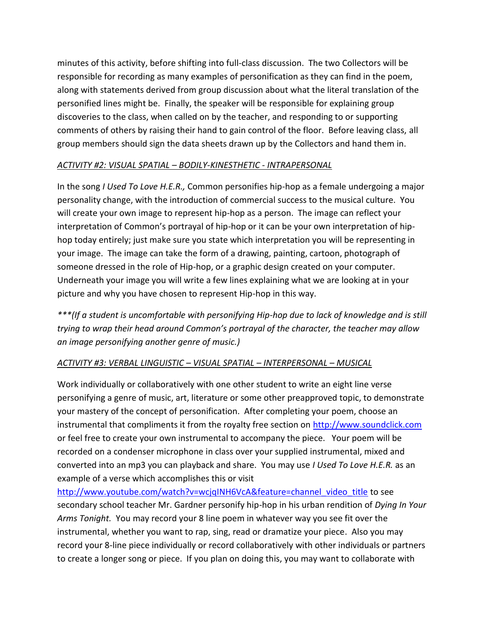minutes of this activity, before shifting into full-class discussion. The two Collectors will be responsible for recording as many examples of personification as they can find in the poem, along with statements derived from group discussion about what the literal translation of the personified lines might be. Finally, the speaker will be responsible for explaining group discoveries to the class, when called on by the teacher, and responding to or supporting comments of others by raising their hand to gain control of the floor. Before leaving class, all group members should sign the data sheets drawn up by the Collectors and hand them in.

## *ACTIVITY #2: VISUAL SPATIAL – BODILY-KINESTHETIC - INTRAPERSONAL*

In the song *I Used To Love H.E.R.,* Common personifies hip-hop as a female undergoing a major personality change, with the introduction of commercial success to the musical culture. You will create your own image to represent hip-hop as a person. The image can reflect your interpretation of Common's portrayal of hip-hop or it can be your own interpretation of hiphop today entirely; just make sure you state which interpretation you will be representing in your image. The image can take the form of a drawing, painting, cartoon, photograph of someone dressed in the role of Hip-hop, or a graphic design created on your computer. Underneath your image you will write a few lines explaining what we are looking at in your picture and why you have chosen to represent Hip-hop in this way.

*\*\*\*(If a student is uncomfortable with personifying Hip-hop due to lack of knowledge and is still trying to wrap their head around Common's portrayal of the character, the teacher may allow an image personifying another genre of music.)*

## *ACTIVITY #3: VERBAL LINGUISTIC – VISUAL SPATIAL – INTERPERSONAL – MUSICAL*

Work individually or collaboratively with one other student to write an eight line verse personifying a genre of music, art, literature or some other preapproved topic, to demonstrate your mastery of the concept of personification. After completing your poem, choose an instrumental that compliments it from the royalty free section on [http://www.soundclick.com](http://www.soundclick.com/) or feel free to create your own instrumental to accompany the piece. Your poem will be recorded on a condenser microphone in class over your supplied instrumental, mixed and converted into an mp3 you can playback and share. You may use *I Used To Love H.E.R.* as an example of a verse which accomplishes this or visit

[http://www.youtube.com/watch?v=wcjqINH6VcA&feature=channel\\_video\\_title](http://www.youtube.com/watch?v=wcjqINH6VcA&feature=channel_video_title) to see secondary school teacher Mr. Gardner personify hip-hop in his urban rendition of *Dying In Your Arms Tonight.* You may record your 8 line poem in whatever way you see fit over the instrumental, whether you want to rap, sing, read or dramatize your piece. Also you may record your 8-line piece individually or record collaboratively with other individuals or partners to create a longer song or piece. If you plan on doing this, you may want to collaborate with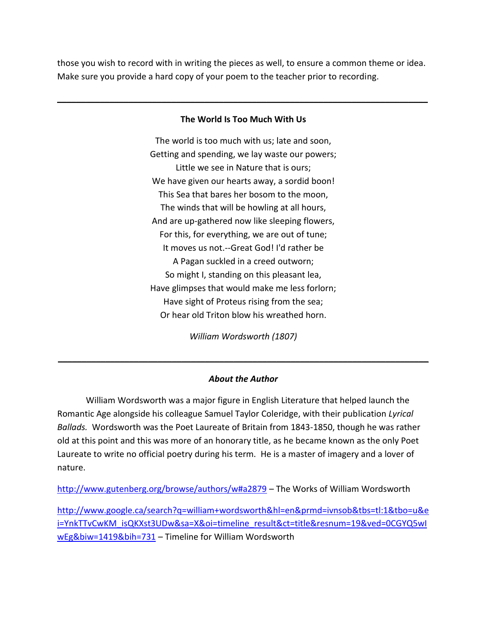those you wish to record with in writing the pieces as well, to ensure a common theme or idea. Make sure you provide a hard copy of your poem to the teacher prior to recording.

### **The World Is Too Much With Us**

\_\_\_\_\_\_\_\_\_\_\_\_\_\_\_\_\_\_\_\_\_\_\_\_\_\_\_\_\_\_\_\_\_\_\_\_\_\_\_\_\_\_\_\_\_\_\_\_\_\_\_\_\_\_\_\_\_\_\_\_\_\_\_\_\_\_\_\_\_\_\_\_\_\_\_\_\_\_

The world is too much with us; late and soon, Getting and spending, we lay waste our powers; Little we see in Nature that is ours; We have given our hearts away, a sordid boon! This Sea that bares her bosom to the moon, The winds that will be howling at all hours, And are up-gathered now like sleeping flowers, For this, for everything, we are out of tune; It moves us not.--Great God! I'd rather be A Pagan suckled in a creed outworn; So might I, standing on this pleasant lea, Have glimpses that would make me less forlorn; Have sight of Proteus rising from the sea; Or hear old Triton blow his wreathed horn.

*William Wordsworth (1807)*

## *About the Author*

\_\_\_\_\_\_\_\_\_\_\_\_\_\_\_\_\_\_\_\_\_\_\_\_\_\_\_\_\_\_\_\_\_\_\_\_\_\_\_\_\_\_\_\_\_\_\_\_\_\_\_\_\_\_\_\_\_\_\_\_\_\_\_\_\_\_\_\_\_\_\_\_\_\_\_\_\_\_

William Wordsworth was a major figure in English Literature that helped launch the Romantic Age alongside his colleague Samuel Taylor Coleridge, with their publication *Lyrical Ballads.* Wordsworth was the Poet Laureate of Britain from 1843-1850, though he was rather old at this point and this was more of an honorary title, as he became known as the only Poet Laureate to write no official poetry during his term. He is a master of imagery and a lover of nature.

<http://www.gutenberg.org/browse/authors/w#a2879> – The Works of William Wordsworth

[http://www.google.ca/search?q=william+wordsworth&hl=en&prmd=ivnsob&tbs=tl:1&tbo=u&e](http://www.google.ca/search?q=william+wordsworth&hl=en&prmd=ivnsob&tbs=tl:1&tbo=u&ei=YnkTTvCwKM_isQKXst3UDw&sa=X&oi=timeline_result&ct=title&resnum=19&ved=0CGYQ5wIwEg&biw=1419&bih=731) [i=YnkTTvCwKM\\_isQKXst3UDw&sa=X&oi=timeline\\_result&ct=title&resnum=19&ved=0CGYQ5wI](http://www.google.ca/search?q=william+wordsworth&hl=en&prmd=ivnsob&tbs=tl:1&tbo=u&ei=YnkTTvCwKM_isQKXst3UDw&sa=X&oi=timeline_result&ct=title&resnum=19&ved=0CGYQ5wIwEg&biw=1419&bih=731) [wEg&biw=1419&bih=731](http://www.google.ca/search?q=william+wordsworth&hl=en&prmd=ivnsob&tbs=tl:1&tbo=u&ei=YnkTTvCwKM_isQKXst3UDw&sa=X&oi=timeline_result&ct=title&resnum=19&ved=0CGYQ5wIwEg&biw=1419&bih=731) – Timeline for William Wordsworth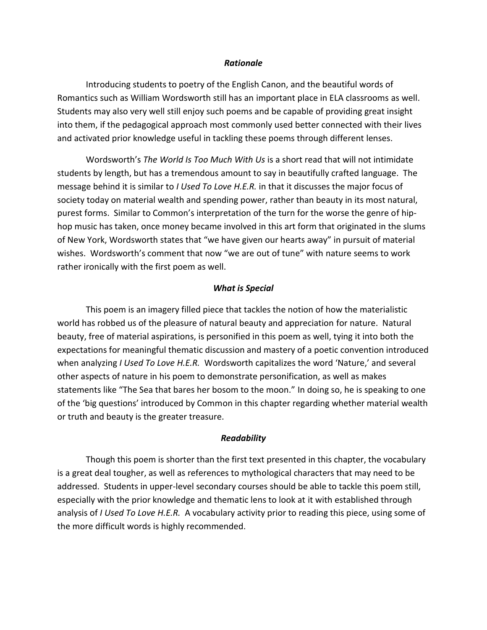#### *Rationale*

Introducing students to poetry of the English Canon, and the beautiful words of Romantics such as William Wordsworth still has an important place in ELA classrooms as well. Students may also very well still enjoy such poems and be capable of providing great insight into them, if the pedagogical approach most commonly used better connected with their lives and activated prior knowledge useful in tackling these poems through different lenses.

Wordsworth's *The World Is Too Much With Us* is a short read that will not intimidate students by length, but has a tremendous amount to say in beautifully crafted language. The message behind it is similar to *I Used To Love H.E.R.* in that it discusses the major focus of society today on material wealth and spending power, rather than beauty in its most natural, purest forms. Similar to Common's interpretation of the turn for the worse the genre of hiphop music has taken, once money became involved in this art form that originated in the slums of New York, Wordsworth states that "we have given our hearts away" in pursuit of material wishes. Wordsworth's comment that now "we are out of tune" with nature seems to work rather ironically with the first poem as well.

#### *What is Special*

This poem is an imagery filled piece that tackles the notion of how the materialistic world has robbed us of the pleasure of natural beauty and appreciation for nature. Natural beauty, free of material aspirations, is personified in this poem as well, tying it into both the expectations for meaningful thematic discussion and mastery of a poetic convention introduced when analyzing *I Used To Love H.E.R.* Wordsworth capitalizes the word 'Nature,' and several other aspects of nature in his poem to demonstrate personification, as well as makes statements like "The Sea that bares her bosom to the moon." In doing so, he is speaking to one of the 'big questions' introduced by Common in this chapter regarding whether material wealth or truth and beauty is the greater treasure.

#### *Readability*

Though this poem is shorter than the first text presented in this chapter, the vocabulary is a great deal tougher, as well as references to mythological characters that may need to be addressed. Students in upper-level secondary courses should be able to tackle this poem still, especially with the prior knowledge and thematic lens to look at it with established through analysis of *I Used To Love H.E.R.* A vocabulary activity prior to reading this piece, using some of the more difficult words is highly recommended.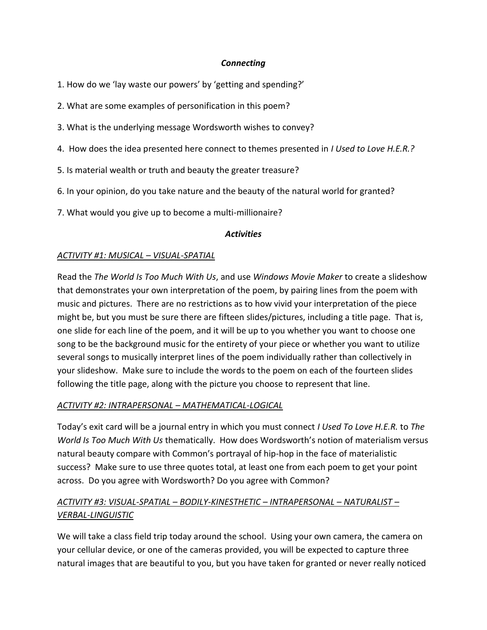#### *Connecting*

- 1. How do we 'lay waste our powers' by 'getting and spending?'
- 2. What are some examples of personification in this poem?
- 3. What is the underlying message Wordsworth wishes to convey?
- 4. How does the idea presented here connect to themes presented in *I Used to Love H.E.R.?*
- 5. Is material wealth or truth and beauty the greater treasure?
- 6. In your opinion, do you take nature and the beauty of the natural world for granted?
- 7. What would you give up to become a multi-millionaire?

### *Activities*

## *ACTIVITY #1: MUSICAL – VISUAL-SPATIAL*

Read the *The World Is Too Much With Us*, and use *Windows Movie Maker* to create a slideshow that demonstrates your own interpretation of the poem, by pairing lines from the poem with music and pictures. There are no restrictions as to how vivid your interpretation of the piece might be, but you must be sure there are fifteen slides/pictures, including a title page. That is, one slide for each line of the poem, and it will be up to you whether you want to choose one song to be the background music for the entirety of your piece or whether you want to utilize several songs to musically interpret lines of the poem individually rather than collectively in your slideshow. Make sure to include the words to the poem on each of the fourteen slides following the title page, along with the picture you choose to represent that line.

## *ACTIVITY #2: INTRAPERSONAL – MATHEMATICAL-LOGICAL*

Today's exit card will be a journal entry in which you must connect *I Used To Love H.E.R.* to *The World Is Too Much With Us* thematically. How does Wordsworth's notion of materialism versus natural beauty compare with Common's portrayal of hip-hop in the face of materialistic success? Make sure to use three quotes total, at least one from each poem to get your point across. Do you agree with Wordsworth? Do you agree with Common?

## *ACTIVITY #3: VISUAL-SPATIAL – BODILY-KINESTHETIC – INTRAPERSONAL – NATURALIST – VERBAL-LINGUISTIC*

We will take a class field trip today around the school. Using your own camera, the camera on your cellular device, or one of the cameras provided, you will be expected to capture three natural images that are beautiful to you, but you have taken for granted or never really noticed